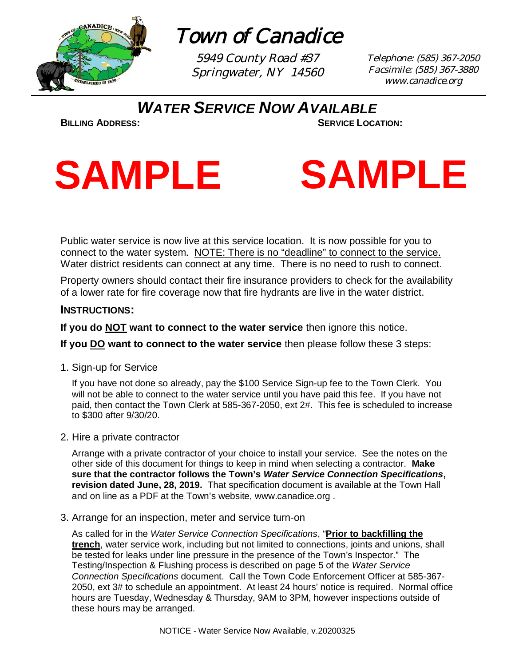

Town of Canadice

5949 County Road #37 Springwater, NY 14560 Telephone: (585) 367-2050 Facsimile: (585) 367-3880 www.canadice.org

*WATER SERVICE NOW AVAILABLE*

**BILLING ADDRESS: SERVICE LOCATION:**



Public water service is now live at this service location. It is now possible for you to connect to the water system. NOTE: There is no "deadline" to connect to the service. Water district residents can connect at any time. There is no need to rush to connect.

Property owners should contact their fire insurance providers to check for the availability of a lower rate for fire coverage now that fire hydrants are live in the water district.

### **INSTRUCTIONS:**

**If you do NOT want to connect to the water service** then ignore this notice.

**If you DO want to connect to the water service** then please follow these 3 steps:

1. Sign-up for Service

If you have not done so already, pay the \$100 Service Sign-up fee to the Town Clerk. You will not be able to connect to the water service until you have paid this fee. If you have not paid, then contact the Town Clerk at 585-367-2050, ext 2#. This fee is scheduled to increase to \$300 after 9/30/20.

2. Hire a private contractor

Arrange with a private contractor of your choice to install your service. See the notes on the other side of this document for things to keep in mind when selecting a contractor. **Make sure that the contractor follows the Town's** *Water Service Connection Specifications***, revision dated June, 28, 2019.** That specification document is available at the Town Hall and on line as a PDF at the Town's website, www.canadice.org .

3. Arrange for an inspection, meter and service turn-on

As called for in the *Water Service Connection Specifications*, "**Prior to backfilling the trench**, water service work, including but not limited to connections, joints and unions, shall be tested for leaks under line pressure in the presence of the Town's Inspector." The Testing/Inspection & Flushing process is described on page 5 of the *Water Service Connection Specifications* document. Call the Town Code Enforcement Officer at 585-367- 2050, ext 3# to schedule an appointment. At least 24 hours' notice is required. Normal office hours are Tuesday, Wednesday & Thursday, 9AM to 3PM, however inspections outside of these hours may be arranged.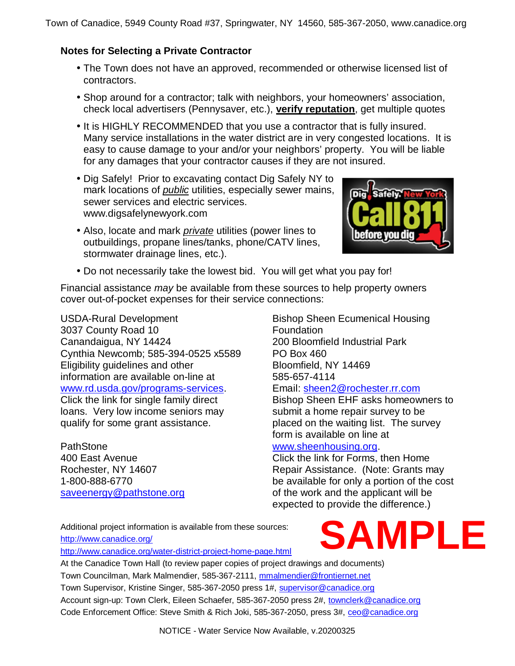### **Notes for Selecting a Private Contractor**

- The Town does not have an approved, recommended or otherwise licensed list of contractors.
- Shop around for a contractor; talk with neighbors, your homeowners' association, check local advertisers (Pennysaver, etc.), **verify reputation**, get multiple quotes
- It is HIGHLY RECOMMENDED that you use a contractor that is fully insured. Many service installations in the water district are in very congested locations. It is easy to cause damage to your and/or your neighbors' property. You will be liable for any damages that your contractor causes if they are not insured.
- Dig Safely! Prior to excavating contact Dig Safely NY to mark locations of *public* utilities, especially sewer mains, sewer services and electric services. www.digsafelynewyork.com
- Also, locate and mark *private* utilities (power lines to outbuildings, propane lines/tanks, phone/CATV lines, stormwater drainage lines, etc.).



Do not necessarily take the lowest bid. You will get what you pay for!

Financial assistance *may* be available from these sources to help property owners cover out-of-pocket expenses for their service connections:

USDA-Rural Development 3037 County Road 10 Canandaigua, NY 14424 Cynthia Newcomb; 585-394-0525 x5589 Eligibility guidelines and other information are available on-line at www.rd.usda.gov/programs-services. Click the link for single family direct loans. Very low income seniors may qualify for some grant assistance.

PathStone 400 East Avenue Rochester, NY 14607 1-800-888-6770 saveenergy@pathstone.org Bishop Sheen Ecumenical Housing **Foundation** 200 Bloomfield Industrial Park PO Box 460 Bloomfield, NY 14469 585-657-4114 Email: sheen2@rochester.rr.com Bishop Sheen EHF asks homeowners to

submit a home repair survey to be placed on the waiting list. The survey form is available on line at www.sheenhousing.org.

### Click the link for Forms, then Home Repair Assistance. (Note: Grants may be available for only a portion of the cost of the work and the applicant will be expected to provide the difference.)

Additional project information is available from these sources: http://www.canadice.org/

http://www.canadice.org/water-district-project-home-page.html



At the Canadice Town Hall (to review paper copies of project drawings and documents) Town Councilman, Mark Malmendier, 585-367-2111, mmalmendier@frontiernet.net Town Supervisor, Kristine Singer, 585-367-2050 press 1#, supervisor@canadice.org Account sign-up: Town Clerk, Eileen Schaefer, 585-367-2050 press 2#, townclerk@canadice.org Code Enforcement Office: Steve Smith & Rich Joki, 585-367-2050, press 3#, ceo@canadice.org